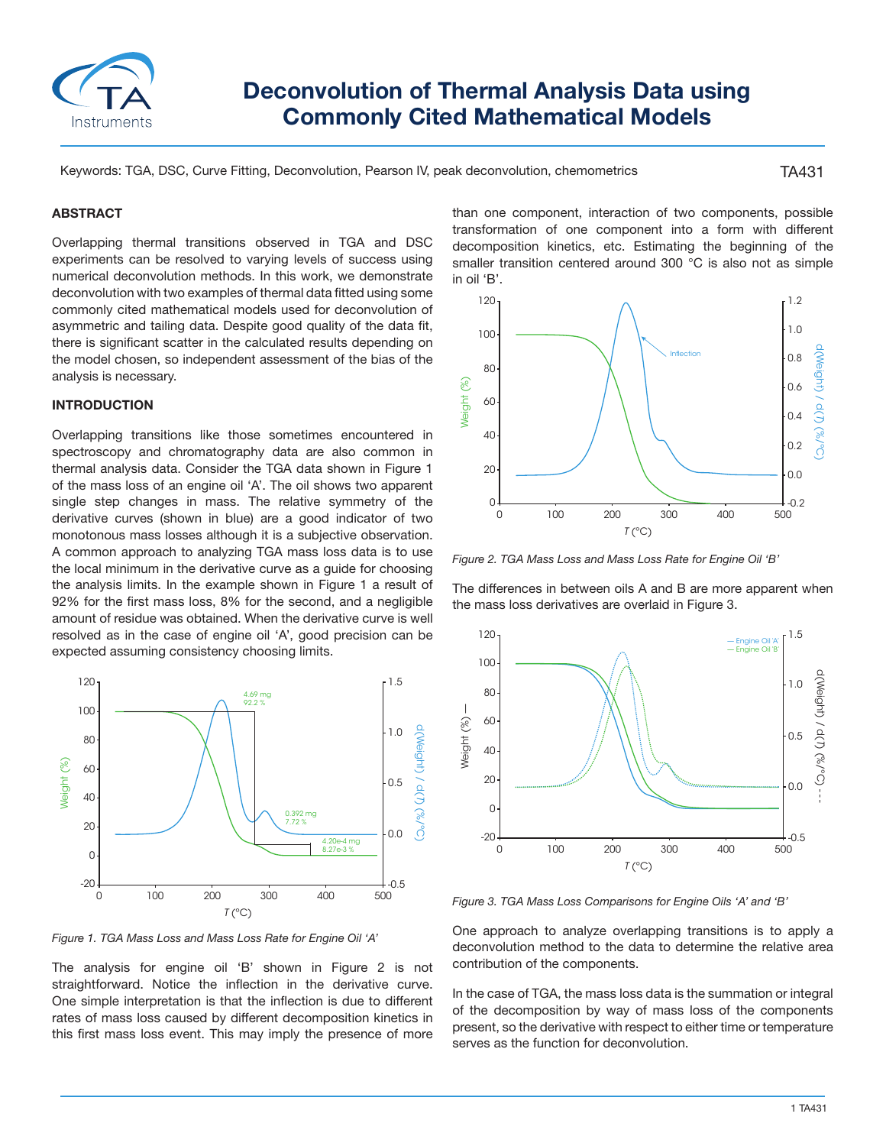

# **Deconvolution of Thermal Analysis Data using Commonly Cited Mathematical Models**

Keywords: TGA, DSC, Curve Fitting, Deconvolution, Pearson IV, peak deconvolution, chemometrics

TA431

### **ABSTRACT**

Overlapping thermal transitions observed in TGA and DSC experiments can be resolved to varying levels of success using numerical deconvolution methods. In this work, we demonstrate deconvolution with two examples of thermal data fitted using some commonly cited mathematical models used for deconvolution of asymmetric and tailing data. Despite good quality of the data fit, there is significant scatter in the calculated results depending on the model chosen, so independent assessment of the bias of the analysis is necessary.

## **INTRODUCTION**

Overlapping transitions like those sometimes encountered in spectroscopy and chromatography data are also common in thermal analysis data. Consider the TGA data shown in Figure 1 of the mass loss of an engine oil 'A'. The oil shows two apparent single step changes in mass. The relative symmetry of the derivative curves (shown in blue) are a good indicator of two monotonous mass losses although it is a subjective observation. A common approach to analyzing TGA mass loss data is to use the local minimum in the derivative curve as a guide for choosing the analysis limits. In the example shown in Figure 1 a result of 92% for the first mass loss, 8% for the second, and a negligible amount of residue was obtained. When the derivative curve is well resolved as in the case of engine oil 'A', good precision can be expected assuming consistency choosing limits.



*Figure 1. TGA Mass Loss and Mass Loss Rate for Engine Oil 'A'*

The analysis for engine oil 'B' shown in Figure 2 is not straightforward. Notice the inflection in the derivative curve. One simple interpretation is that the inflection is due to different rates of mass loss caused by different decomposition kinetics in this first mass loss event. This may imply the presence of more than one component, interaction of two components, possible transformation of one component into a form with different decomposition kinetics, etc. Estimating the beginning of the smaller transition centered around 300 °C is also not as simple in oil 'B'.



*Figure 2. TGA Mass Loss and Mass Loss Rate for Engine Oil 'B'*

The differences in between oils A and B are more apparent when the mass loss derivatives are overlaid in Figure 3.



*Figure 3. TGA Mass Loss Comparisons for Engine Oils 'A' and 'B'*

One approach to analyze overlapping transitions is to apply a deconvolution method to the data to determine the relative area contribution of the components.

In the case of TGA, the mass loss data is the summation or integral of the decomposition by way of mass loss of the components present, so the derivative with respect to either time or temperature serves as the function for deconvolution.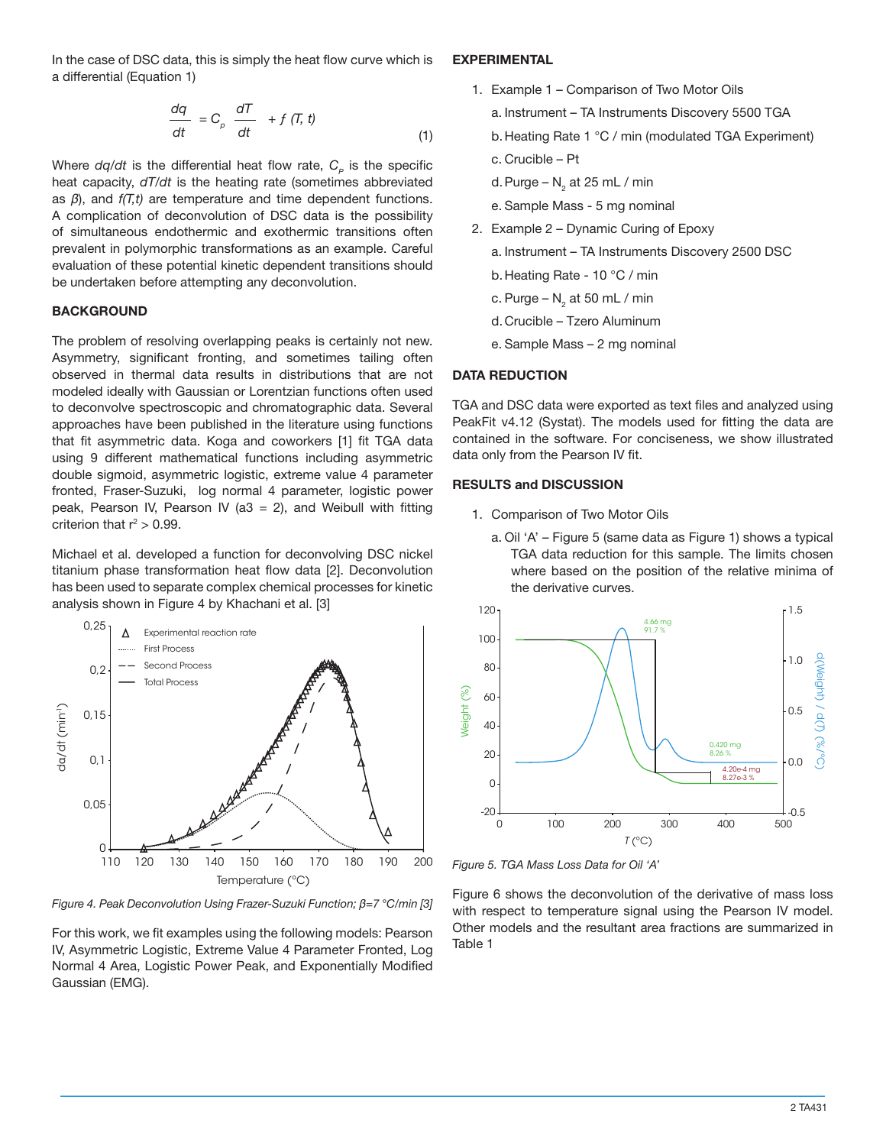In the case of DSC data, this is simply the heat flow curve which is a differential (Equation 1)

$$
\frac{dq}{dt} = C_{\rho} \frac{dT}{dt} + f(T, t)
$$
\n(1)

Where  $dq/dt$  is the differential heat flow rate,  $C_p$  is the specific heat capacity, *dT/dt* is the heating rate (sometimes abbreviated as *β*), and *f(T,t)* are temperature and time dependent functions. A complication of deconvolution of DSC data is the possibility of simultaneous endothermic and exothermic transitions often prevalent in polymorphic transformations as an example. Careful evaluation of these potential kinetic dependent transitions should be undertaken before attempting any deconvolution.

### **BACKGROUND**

The problem of resolving overlapping peaks is certainly not new. Asymmetry, significant fronting, and sometimes tailing often observed in thermal data results in distributions that are not modeled ideally with Gaussian or Lorentzian functions often used to deconvolve spectroscopic and chromatographic data. Several approaches have been published in the literature using functions that fit asymmetric data. Koga and coworkers [1] fit TGA data using 9 different mathematical functions including asymmetric double sigmoid, asymmetric logistic, extreme value 4 parameter fronted, Fraser-Suzuki, log normal 4 parameter, logistic power peak, Pearson IV, Pearson IV (a3 = 2), and Weibull with fitting criterion that  $r^2 > 0.99$ .

Michael et al. developed a function for deconvolving DSC nickel titanium phase transformation heat flow data [2]. Deconvolution has been used to separate complex chemical processes for kinetic analysis shown in Figure 4 by Khachani et al. [3]



*Figure 4. Peak Deconvolution Using Frazer-Suzuki Function; β=7 °C/min [3]*

For this work, we fit examples using the following models: Pearson IV, Asymmetric Logistic, Extreme Value 4 Parameter Fronted, Log Normal 4 Area, Logistic Power Peak, and Exponentially Modified Gaussian (EMG).

## **EXPERIMENTAL**

- 1. Example 1 Comparison of Two Motor Oils
	- a. Instrument TA Instruments Discovery 5500 TGA
	- b.Heating Rate 1 °C / min (modulated TGA Experiment)
	- c. Crucible Pt
	- d. Purge  $N_{2}$  at 25 mL / min
	- e. Sample Mass 5 mg nominal
- 2. Example 2 Dynamic Curing of Epoxy
	- a. Instrument TA Instruments Discovery 2500 DSC
	- b.Heating Rate 10 °C / min
	- c. Purge  $\mathsf{N}_2^{}$  at 50 mL / min
	- d.Crucible Tzero Aluminum
	- e. Sample Mass 2 mg nominal

## **DATA REDUCTION**

TGA and DSC data were exported as text files and analyzed using PeakFit v4.12 (Systat). The models used for fitting the data are contained in the software. For conciseness, we show illustrated data only from the Pearson IV fit.

## **RESULTS and DISCUSSION**

- 1. Comparison of Two Motor Oils
	- a. Oil 'A' Figure 5 (same data as Figure 1) shows a typical TGA data reduction for this sample. The limits chosen where based on the position of the relative minima of the derivative curves.



*Figure 5. TGA Mass Loss Data for Oil 'A'*

Figure 6 shows the deconvolution of the derivative of mass loss with respect to temperature signal using the Pearson IV model. Other models and the resultant area fractions are summarized in Table 1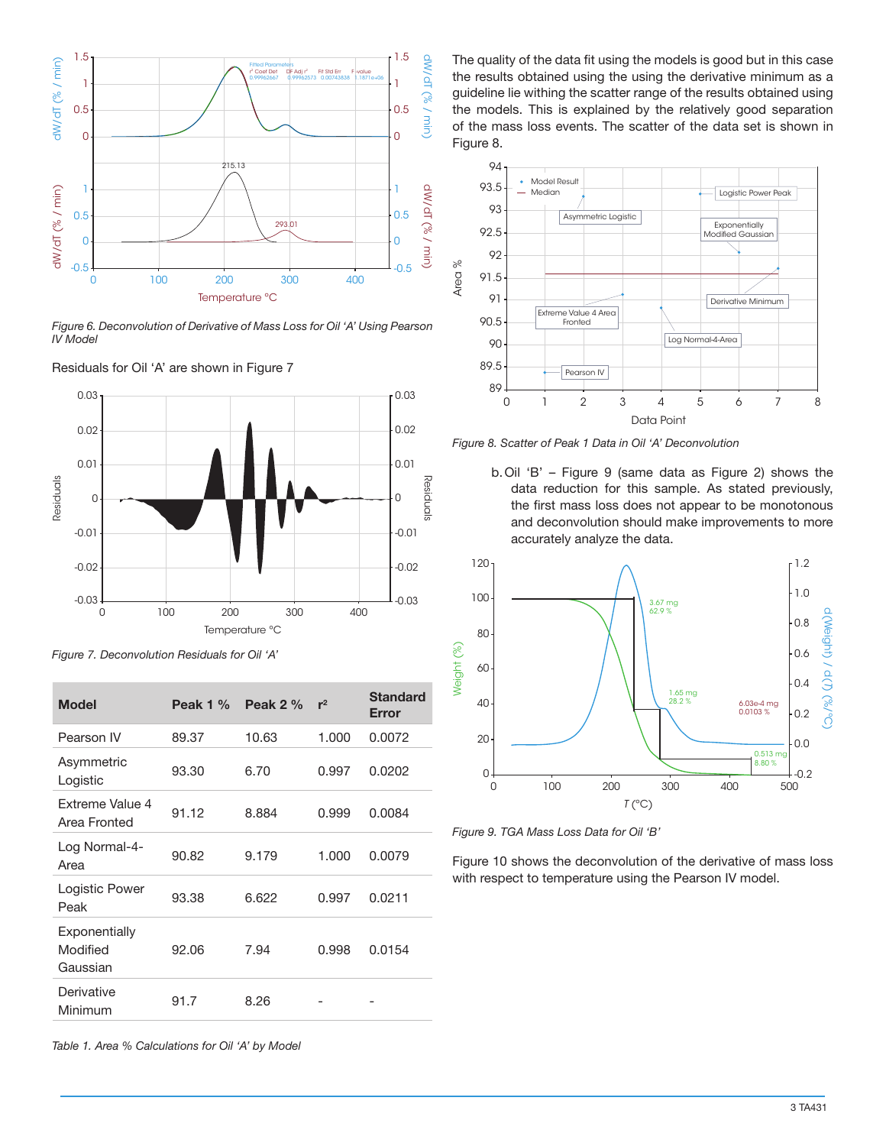

*Figure 6. Deconvolution of Derivative of Mass Loss for Oil 'A' Using Pearson IV Model*



Residuals for Oil 'A' are shown in Figure 7

*Figure 7. Deconvolution Residuals for Oil 'A'*

| $dW/dT$ (% / min) | ن. ا<br>1<br>0.5<br>0                                                                                                                                           |               | <b>Fitted Param</b><br>r <sup>2</sup> Coef Det<br>DF Adi r <sup>2</sup><br>0.99962667 | Fit Std Fm<br>F-value<br>0.99962573 0.00743838 | ن. ا<br>$\frac{1}{2}$<br>$1.1871e+06$<br>1<br>(7e / min)<br>0.5<br>۰0 |
|-------------------|-----------------------------------------------------------------------------------------------------------------------------------------------------------------|---------------|---------------------------------------------------------------------------------------|------------------------------------------------|-----------------------------------------------------------------------|
| $dW/dT$ (% / min) | 1<br>0.5<br>0<br>$-0.5$<br>100<br>0                                                                                                                             | 215.13<br>200 | 293.01<br>300<br>Temperature °C                                                       | 400                                            | - 1<br>GM/GI (26 / min)<br>0.5<br>- 0<br>$-0.5$                       |
| <b>IV Model</b>   | Figure 6. Deconvolution of Derivative of Mass Loss for Oil 'A' Using Pearsor                                                                                    |               |                                                                                       |                                                |                                                                       |
| Residuals         | Residuals for Oil 'A' are shown in Figure 7<br>0.03<br>0.02<br>0.01<br>0<br>$-0.01$<br>$-0.02$<br>$-0.03$<br>0<br>Figure 7. Deconvolution Residuals for Oil 'A' | 100<br>200    | 300<br>Temperature °C                                                                 | 400                                            | 0.03<br>0.02<br>0.01<br>kesiauais<br>0<br>-0.01<br>$-0.02$<br>$-0.03$ |
|                   | <b>Model</b>                                                                                                                                                    | Peak 1 %      | Peak 2 %                                                                              | $r^2$                                          | <b>Standard</b><br>Error                                              |
|                   | Pearson IV                                                                                                                                                      | 89.37         | 10.63                                                                                 | 1.000                                          | 0.0072                                                                |
|                   | Asymmetric<br>Logistic                                                                                                                                          | 93.30         | 6.70                                                                                  | 0.997                                          | 0.0202                                                                |
|                   | Extreme Value 4<br>Area Fronted                                                                                                                                 | 91.12         | 8.884                                                                                 | 0.999                                          | 0.0084                                                                |
| Area              | Log Normal-4-                                                                                                                                                   | 90.82         | 9.179                                                                                 | 1.000                                          | 0.0079                                                                |
| Peak              | Logistic Power                                                                                                                                                  | 93.38         | 6.622                                                                                 | 0.997                                          | 0.0211                                                                |
|                   | Exponentially<br>Modified<br>Gaussian                                                                                                                           | 92.06         | 7.94                                                                                  | 0.998                                          | 0.0154                                                                |
|                   | Derivative<br>Minimum                                                                                                                                           | 91.7          | 8.26                                                                                  |                                                |                                                                       |

The quality of the data fit using the models is good but in this case the results obtained using the using the derivative minimum as a guideline lie withing the scatter range of the results obtained using the models. This is explained by the relatively good separation of the mass loss events. The scatter of the data set is shown in Figure 8.



*Figure 8. Scatter of Peak 1 Data in Oil 'A' Deconvolution*

b.Oil 'B' – Figure 9 (same data as Figure 2) shows the data reduction for this sample. As stated previously, the first mass loss does not appear to be monotonous and deconvolution should make improvements to more accurately analyze the data.



*Figure 9. TGA Mass Loss Data for Oil 'B'*

Figure 10 shows the deconvolution of the derivative of mass loss with respect to temperature using the Pearson IV model.

*Table 1. Area % Calculations for Oil 'A' by Model*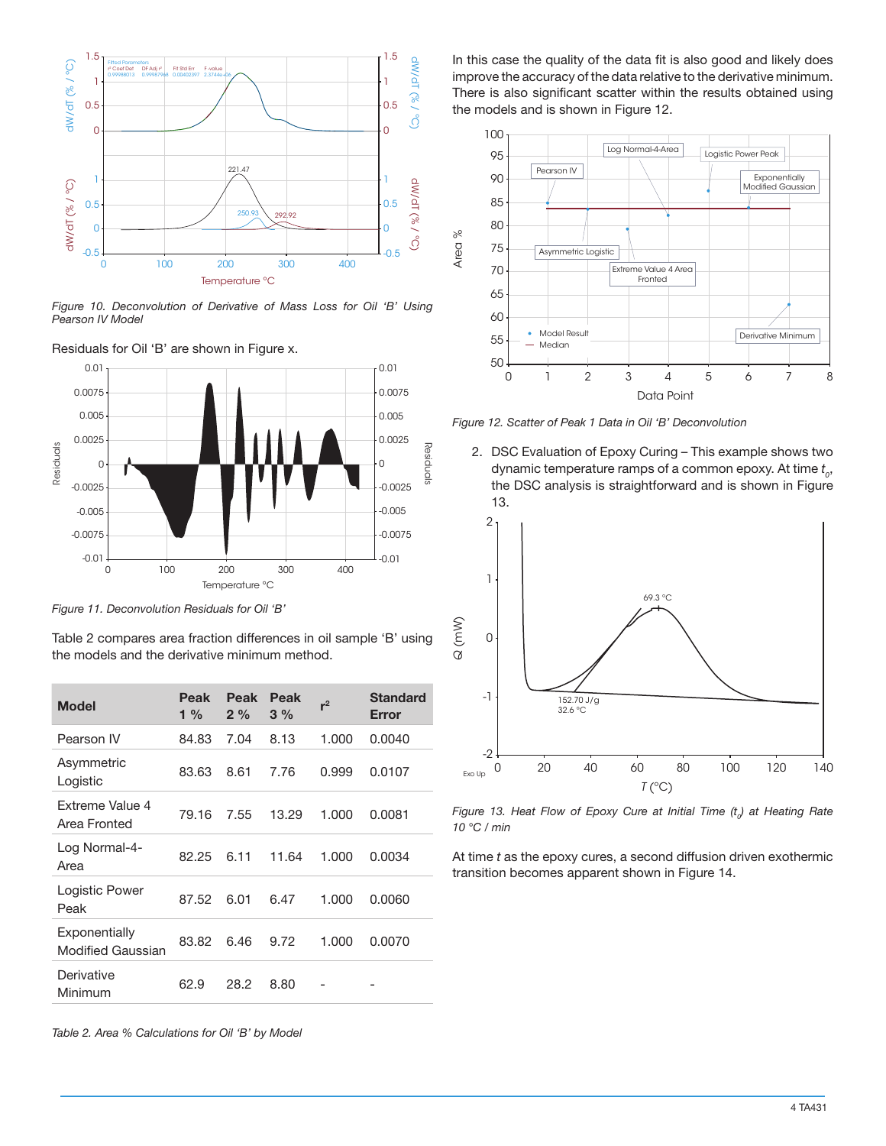

*Figure 10. Deconvolution of Derivative of Mass Loss for Oil 'B' Using Pearson IV Model*



*Figure 11. Deconvolution Residuals for Oil 'B'*

| $dW/dT$ (% / °C)<br>1    | DF Adj r <sup>2</sup><br><sup>2</sup> Coef Det<br>0.99988013<br>0.99987968                                                                                            | Fit Std Err<br>F-value<br>0.00402397<br>$2.3744e + 0$ |                       |               |                | <b>NW/dT (% / °C)</b><br>1 |           |
|--------------------------|-----------------------------------------------------------------------------------------------------------------------------------------------------------------------|-------------------------------------------------------|-----------------------|---------------|----------------|----------------------------|-----------|
| 0.5                      |                                                                                                                                                                       |                                                       |                       |               |                | 0.5                        |           |
| 0                        |                                                                                                                                                                       |                                                       |                       |               |                | 0                          |           |
|                          |                                                                                                                                                                       |                                                       |                       |               |                |                            |           |
|                          |                                                                                                                                                                       |                                                       | 221.47                |               |                |                            |           |
| 1                        |                                                                                                                                                                       |                                                       |                       |               |                | 1                          |           |
| 0.5                      |                                                                                                                                                                       |                                                       | 250.93                | 292.92        |                | 0.5                        |           |
| $dW/dT$ (% / °C)<br>0    |                                                                                                                                                                       |                                                       |                       |               |                | $O0$ / %) $1D/MP$<br>0     |           |
| $-0.5$                   |                                                                                                                                                                       |                                                       |                       |               |                | $-0.5$                     |           |
|                          | 100<br>0                                                                                                                                                              |                                                       | 200<br>Temperature °C | 300           | 400            |                            |           |
| Pearson IV Model<br>0.01 | Figure 10. Deconvolution of Derivative of Mass Loss for Oil 'B' Using<br>Residuals for Oil 'B' are shown in Figure x.                                                 |                                                       |                       |               |                | 0.01                       |           |
| 0.0075                   |                                                                                                                                                                       |                                                       |                       |               |                | 0.0075                     |           |
| 0.005                    |                                                                                                                                                                       |                                                       |                       |               |                | 0.005                      |           |
| 0.0025                   |                                                                                                                                                                       |                                                       |                       |               |                | 0.0025                     |           |
| Residuals<br>0           |                                                                                                                                                                       |                                                       |                       |               |                | - 0                        | kesiauais |
| $-0.0025$                |                                                                                                                                                                       |                                                       |                       |               |                | $-0.0025$                  |           |
| $-0.005$                 |                                                                                                                                                                       |                                                       |                       |               |                | $-0.005$                   |           |
|                          |                                                                                                                                                                       |                                                       |                       |               |                |                            |           |
| $-0.0075$                |                                                                                                                                                                       |                                                       |                       |               |                | $-0.0075$                  |           |
| $-0.01$                  |                                                                                                                                                                       |                                                       |                       |               |                | $-0.01$                    |           |
|                          | 0                                                                                                                                                                     | 100                                                   | 200<br>Temperature °C | 300           | 400            |                            |           |
|                          | Figure 11. Deconvolution Residuals for Oil 'B'<br>Table 2 compares area fraction differences in oil sample 'B' using<br>the models and the derivative minimum method. |                                                       |                       |               |                |                            |           |
| <b>Model</b>             |                                                                                                                                                                       | <b>Peak</b><br>$1\%$                                  | <b>Peak</b><br>2 %    | Peak<br>$3\%$ | r <sup>2</sup> | <b>Standard</b><br>Error   |           |
| Pearson IV               |                                                                                                                                                                       | 84.83                                                 | 7.04                  | 8.13          | 1.000          | 0.0040                     |           |
| Asymmetric<br>Logistic   |                                                                                                                                                                       | 83.63                                                 | 8.61                  | 7.76          | 0.999          | 0.0107                     |           |
| Area Fronted             | Extreme Value 4                                                                                                                                                       | 79.16                                                 | 7.55                  | 13.29         | 1.000          | 0.0081                     |           |
| Log Normal-4-<br>Area    |                                                                                                                                                                       | 82.25                                                 | 6.11                  | 11.64         | 1.000          | 0.0034                     |           |
| Peak                     | Logistic Power                                                                                                                                                        | 87.52                                                 | 6.01                  | 6.47          | 1.000          | 0.0060                     |           |
| Exponentially            | <b>Modified Gaussian</b>                                                                                                                                              | 83.82                                                 | 6.46                  | 9.72          | 1.000          | 0.0070                     |           |
| Derivative<br>Minimum    |                                                                                                                                                                       | 62.9                                                  | 28.2                  | 8.80          |                |                            |           |

In this case the quality of the data fit is also good and likely does improve the accuracy of the data relative to the derivative minimum. There is also significant scatter within the results obtained using the models and is shown in Figure 12.



*Figure 12. Scatter of Peak 1 Data in Oil 'B' Deconvolution*

2. DSC Evaluation of Epoxy Curing – This example shows two dynamic temperature ramps of a common epoxy. At time *t 0* , the DSC analysis is straightforward and is shown in Figure 13.



Figure 13. Heat Flow of Epoxy Cure at Initial Time (t<sub>o</sub>) at Heating Rate *10 °C / min*

At time *t* as the epoxy cures, a second diffusion driven exothermic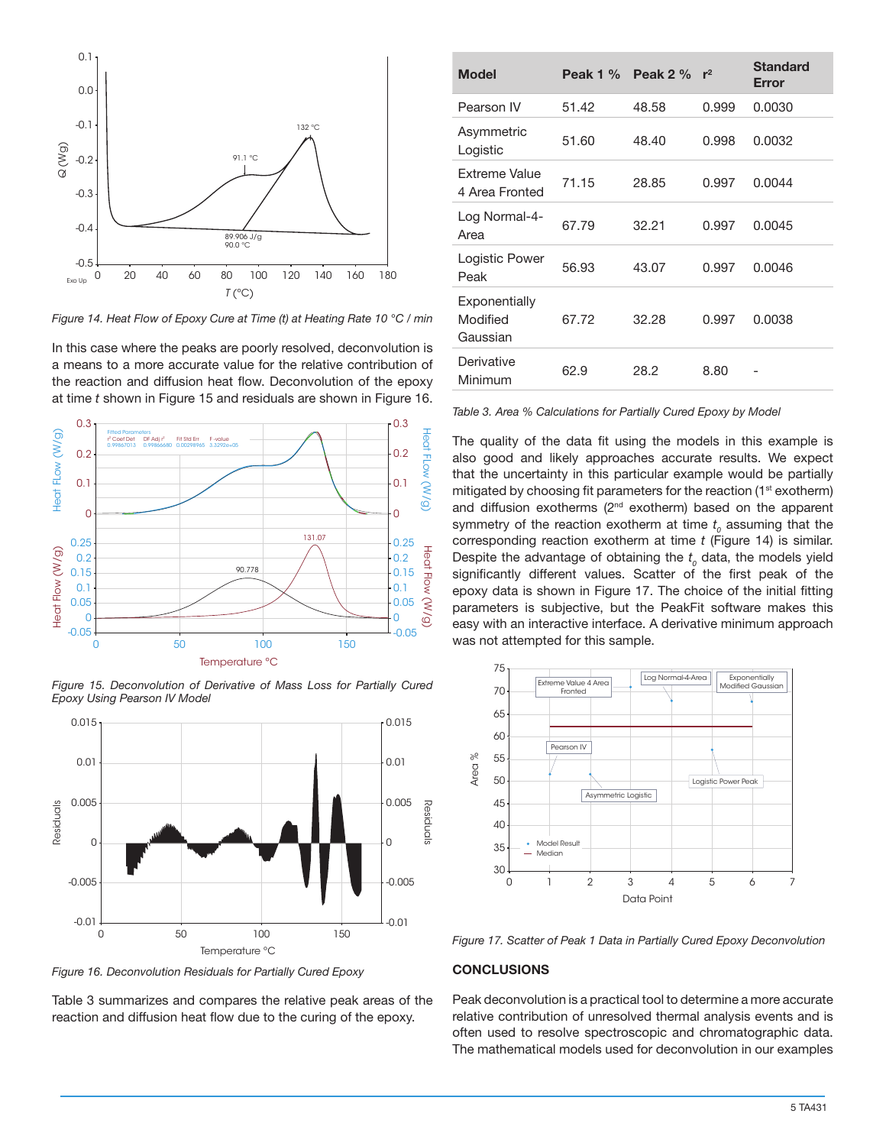

*Figure 14. Heat Flow of Epoxy Cure at Time (t) at Heating Rate 10 °C / min*

In this case where the peaks are poorly resolved, deconvolution is a means to a more accurate value for the relative contribution of the reaction and diffusion heat flow. Deconvolution of the epoxy at time *t* shown in Figure 15 and residuals are shown in Figure 16.



*Figure 15. Deconvolution of Derivative of Mass Loss for Partially Cured Epoxy Using Pearson IV Model*



*Figure 16. Deconvolution Residuals for Partially Cured Epoxy*

Table 3 summarizes and compares the relative peak areas of the reaction and diffusion heat flow due to the curing of the epoxy.

| <b>Model</b>                          | Peak $1\%$ | Peak $2\%$ | $r^2$ | <b>Standard</b><br><b>Error</b> |
|---------------------------------------|------------|------------|-------|---------------------------------|
| Pearson IV                            | 51.42      | 48.58      | 0.999 | 0.0030                          |
| Asymmetric<br>Logistic                | 51.60      | 48.40      | 0.998 | 0.0032                          |
| Extreme Value<br>4 Area Fronted       | 71.15      | 28.85      | 0.997 | 0.0044                          |
| Log Normal-4-<br>Area                 | 67.79      | 32.21      | 0.997 | 0.0045                          |
| Logistic Power<br>Peak                | 56.93      | 43.07      | 0.997 | 0.0046                          |
| Exponentially<br>Modified<br>Gaussian | 67.72      | 32.28      | 0.997 | 0.0038                          |
| Derivative<br>Minimum                 | 62.9       | 28.2       | 8.80  |                                 |

*Table 3. Area % Calculations for Partially Cured Epoxy by Model*

The quality of the data fit using the models in this example is also good and likely approaches accurate results. We expect that the uncertainty in this particular example would be partially mitigated by choosing fit parameters for the reaction  $(1<sup>st</sup>$  exotherm) and diffusion exotherms (2<sup>nd</sup> exotherm) based on the apparent symmetry of the reaction exotherm at time  $t_o$  assuming that the corresponding reaction exotherm at time *t* (Figure 14) is similar. Despite the advantage of obtaining the  $t_o$  data, the models yield significantly different values. Scatter of the first peak of the epoxy data is shown in Figure 17. The choice of the initial fitting parameters is subjective, but the PeakFit software makes this easy with an interactive interface. A derivative minimum approach was not attempted for this sample.



*Figure 17. Scatter of Peak 1 Data in Partially Cured Epoxy Deconvolution*

#### **CONCLUSIONS**

Peak deconvolution is a practical tool to determine a more accurate relative contribution of unresolved thermal analysis events and is often used to resolve spectroscopic and chromatographic data. The mathematical models used for deconvolution in our examples